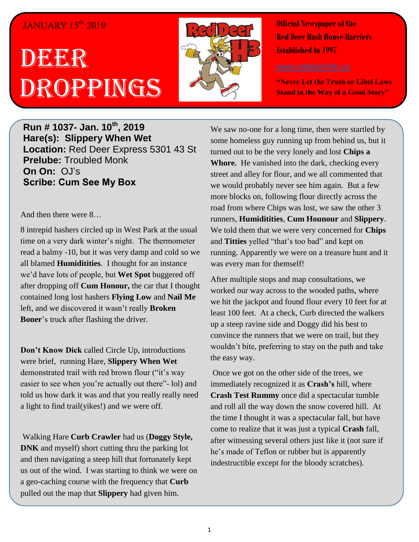## JANUARY 15<sup>th,</sup> 2019

## DEER Droppings



**Official Newspaper of the Red Deer Hash House Harriers Established In 1997** 

**"Never Let the Truth or Libel Laws Stand in the Way of a Good Story"**

**Run # 1037- Jan. 10th, 2019 Hare(s): Slippery When Wet Location:** Red Deer Express 5301 43 St **Prelube:** Troubled Monk **On On:** OJ's **Scribe: Cum See My Box**

And then there were 8…

8 intrepid hashers circled up in West Park at the usual time on a very dark winter's night. The thermometer read a balmy -10, but it was very damp and cold so we all blamed **Humiditities**. I thought for an instance we'd have lots of people, but **Wet Spot** buggered off after dropping off **Cum Honour,** the car that I thought contained long lost hashers **Flying Low** and **Nail Me** left, and we discovered it wasn't really **Broken Boner**'s truck after flashing the driver.

**Don't Know Dick** called Circle Up, introductions were brief, running Hare, **Slippery When Wet** demonstrated trail with red brown flour ("it's way easier to see when you're actually out there"- lol) and told us how dark it was and that you really really need a light to find trail(yikes!) and we were off.

Walking Hare **Curb Crawler** had us (**Doggy Style, DNK** and myself) short cutting thru the parking lot and then navigating a steep hill that fortunately kept us out of the wind. I was starting to think we were on a geo-caching course with the frequency that **Curb** pulled out the map that **Slippery** had given him.

We saw no-one for a long time, then were startled by some homeless guy running up from behind us, but it turned out to be the very lonely and lost **Chips a Whore.** He vanished into the dark, checking every street and alley for flour, and we all commented that we would probably never see him again. But a few more blocks on, following flour directly across the road from where Chips was lost, we saw the other 3 runners, **Humiditities**, **Cum Hounour** and **Slippery**. We told them that we were very concerned for **Chips** and **Titties** yelled "that's too bad" and kept on running. Apparently we were on a treasure hunt and it was every man for themself!

After multiple stops and map consultations, we worked our way across to the wooded paths, where we hit the jackpot and found flour every 10 feet for at least 100 feet. At a check, Curb directed the walkers up a steep ravine side and Doggy did his best to convince the runners that we were on trail, but they wouldn't bite, preferring to stay on the path and take the easy way.

Once we got on the other side of the trees, we immediately recognized it as **Crash's** hill, where **Crash Test Rummy** once did a spectacular tumble and roll all the way down the snow covered hill. At the time I thought it was a spectacular fall, but have come to realize that it was just a typical **Crash** fall, after witnessing several others just like it (not sure if he's made of Teflon or rubber but is apparently indestructible except for the bloody scratches).